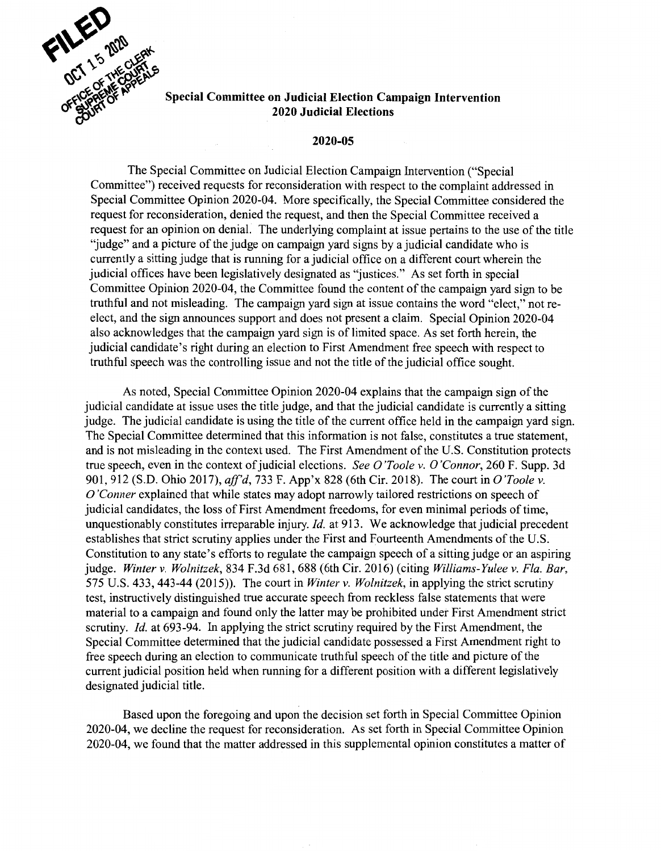

## **~y.· 2020 Judicial Elections**

## **2020-05**

The Special Committee on Judicial Election Campaign Intervention ("Special Committee") received requests for reconsideration with respect to the complaint addressed in Special Committee Opinion 2020-04. More specifically, the Special Committee considered the request for reconsideration, denied the request, and then the Special Committee received a request for an opinion on denial. The underlying complaint at issue pertains to the use of the title "judge" and a picture of the judge on campaign yard signs by a judicial candidate who is currently a sitting judge that is running for a judicial office on a different court wherein the judicial offices have been legislatively designated as "justices." As set forth in special Committee Opinion 2020-04, the Committee found the content of the campaign yard sign to be truthful and not misleading. The campaign yard sign at issue contains the word "elect," not reelect, and the sign announces support and does not present a claim. Special Opinion 2020-04 also acknowledges that the campaign yard sign is of limited space. As set forth herein, the judicial candidate's right during an election to First Amendment free speech with respect to truthful speech was the controlling issue and not the title of the judicial office sought.

As noted, Special Committee Opinion 2020-04 explains that the campaign sign of the judicial candidate at issue uses the title judge, and that the judicial candidate is currently a sitting judge. The judicial candidate is using the title of the current office held in the campaign yard sign. The Special Committee determined that this information is not false, constitutes a true statement, and is not misleading in the context used. The First Amendment of the U.S. Constitution protects true speech, even in the context of judicial elections. *See O 'Toole v. 0 'Connor,* 260 F. Supp. 3d 901,912 (S.D. Ohio 2017), *aff'd,* 733 F. App'x 828 (6th Cir. 2018). The court in *O'Toole v. 0 'Conner* explained that while states may adopt narrowly tailored restrictions on speech of judicial candidates, the loss of First Amendment freedoms, for even minimal periods of time, unquestionably constitutes irreparable injury. *Id.* at 913. We acknowledge that judicial precedent establishes that strict scrutiny applies under the First and Fourteenth Amendments of the U.S. Constitution to any state's efforts to regulate the campaign speech of a sitting judge or an aspiring judge. *Winter v. Wolnitzek,* 834 F.3d 681,688 (6th Cir. 2016) (citing *Williams-Yulee v. Fla. Bar,*  575 U.S. 433, 443-44 (2015)). The court in *Winter v. Wolnitzek,* in applying the strict scrutiny test, instructively distinguished true accurate speech from reckless false statements that were material to a campaign and found only the latter may be prohibited under First Amendment strict scrutiny. *Id.* at 693-94. In applying the strict scrutiny required by the First Amendment, the Special Committee determined that the judicial candidate possessed a First Amendment right to free speech during an election to communicate truthful speech of the title and picture of the current judicial position held when running for a different position with a different legislatively designated judicial title.

Based upon the foregoing and upon the decision set forth in Special Committee Opinion 2020-04, we decline the request for reconsideration. As set forth in Special Committee Opinion 2020-04, we found that the matter addressed in this supplemental opinion constitutes a matter of